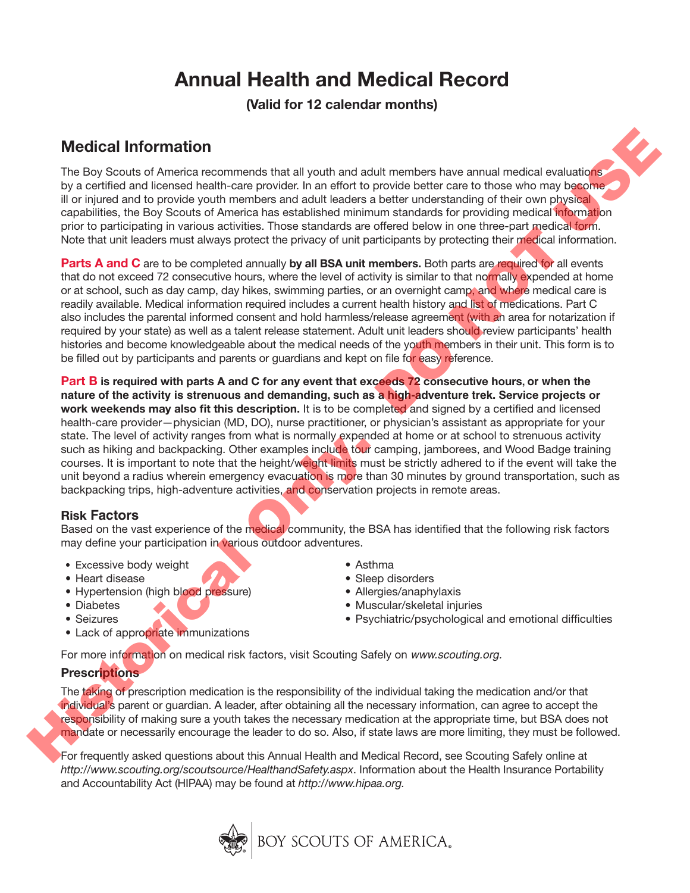# **Annual Health and Medical Record**

**(Valid for 12 calendar months)**

## **Medical Information**

The Boy Scouts of America recommends that all youth and adult members have annual medical evaluations by a certified and licensed health-care provider. In an effort to provide better care to those who may become ill or injured and to provide youth members and adult leaders a better understanding of their own physical capabilities, the Boy Scouts of America has established minimum standards for providing medical information prior to participating in various activities. Those standards are offered below in one three-part medical form. Note that unit leaders must always protect the privacy of unit participants by protecting their medical information.

**Parts A and C** are to be completed annually by all BSA unit members. Both parts are required for all events that do not exceed 72 consecutive hours, where the level of activity is similar to that normally expended at home or at school, such as day camp, day hikes, swimming parties, or an overnight camp, and where medical care is readily available. Medical information required includes a current health history and list of medications. Part C also includes the parental informed consent and hold harmless/release agreement (with an area for notarization if required by your state) as well as a talent release statement. Adult unit leaders should review participants' health histories and become knowledgeable about the medical needs of the youth members in their unit. This form is to be filled out by participants and parents or guardians and kept on file for easy reference.

**Part B is required with parts A and C for any event that exceeds 72 consecutive hours, or when the nature of the activity is strenuous and demanding, such as a high-adventure trek. Service projects or work weekends may also fit this description.** It is to be completed and signed by a certified and licensed health-care provider—physician (MD, DO), nurse practitioner, or physician's assistant as appropriate for your state. The level of activity ranges from what is normally expended at home or at school to strenuous activity such as hiking and backpacking. Other examples include tour camping, jamborees, and Wood Badge training courses. It is important to note that the height/weight limits must be strictly adhered to if the event will take the unit beyond a radius wherein emergency evacuation is more than 30 minutes by ground transportation, such as backpacking trips, high-adventure activities, and conservation projects in remote areas. **Medical Information**<br>The Sy spouts of America nonmerads that all youth and adult nembers have amund medical evolutions<br>by a certified and fiscared in the medical constrained in the form of the time of the medical only th

### **Risk Factors**

Based on the vast experience of the medical community, the BSA has identified that the following risk factors may define your participation in various outdoor adventures.

- Excessive body weight
- Heart disease
- Hypertension (high blood pressure)
- Diabetes
- Seizures
- Lack of appropriate immunizations
- Asthma
- Sleep disorders
- Allergies/anaphylaxis
- Muscular/skeletal injuries
- Psychiatric/psychological and emotional difficulties

For more information on medical risk factors, visit Scouting Safely on *www.scouting.org.*

### **Prescriptions**

The taking of prescription medication is the responsibility of the individual taking the medication and/or that individual's parent or guardian. A leader, after obtaining all the necessary information, can agree to accept the responsibility of making sure a youth takes the necessary medication at the appropriate time, but BSA does not mandate or necessarily encourage the leader to do so. Also, if state laws are more limiting, they must be followed.

For frequently asked questions about this Annual Health and Medical Record, see Scouting Safely online at *http://www.scouting.org/scoutsource/HealthandSafety.aspx*. Information about the Health Insurance Portability and Accountability Act (HIPAA) may be found at *http://www.hipaa.org.*

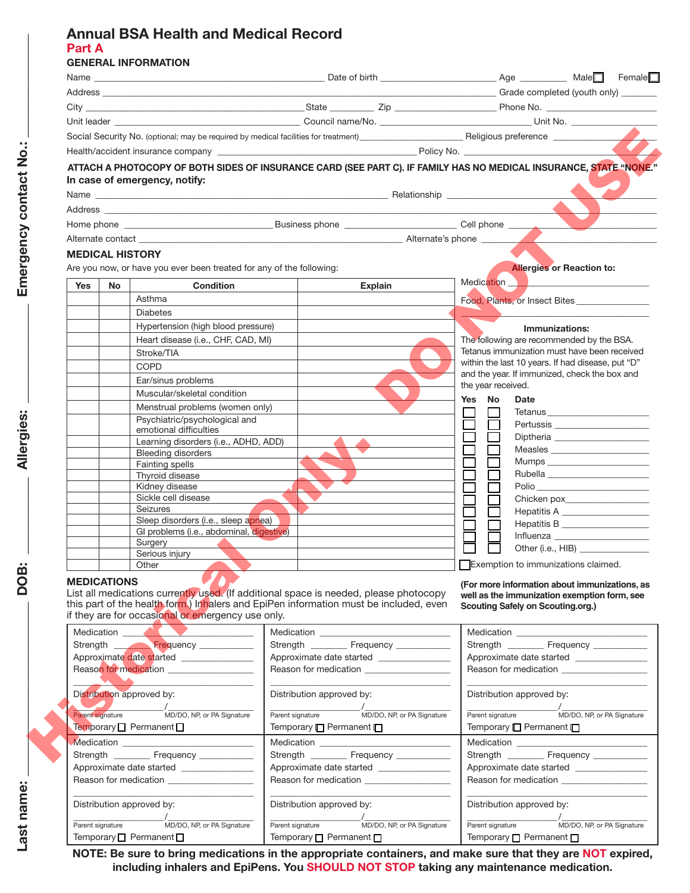#### **Annual BSA Health and Medical Record Part A GENERAL INFORMATION**

|                                                                                                                                                       |                                                                      |                                                                                                                                                                                | Social Security No. (optional; may be required by medical facilities for treatment)<br>Feligious preference                  |
|-------------------------------------------------------------------------------------------------------------------------------------------------------|----------------------------------------------------------------------|--------------------------------------------------------------------------------------------------------------------------------------------------------------------------------|------------------------------------------------------------------------------------------------------------------------------|
|                                                                                                                                                       |                                                                      |                                                                                                                                                                                |                                                                                                                              |
|                                                                                                                                                       | In case of emergency, notify:                                        |                                                                                                                                                                                | ATTACH A PHOTOCOPY OF BOTH SIDES OF INSURANCE CARD (SEE PART C). IF FAMILY HAS NO MEDICAL INSURANCE, STATE "NONE."           |
|                                                                                                                                                       |                                                                      |                                                                                                                                                                                |                                                                                                                              |
|                                                                                                                                                       |                                                                      |                                                                                                                                                                                |                                                                                                                              |
|                                                                                                                                                       |                                                                      |                                                                                                                                                                                |                                                                                                                              |
| <b>MEDICAL HISTORY</b>                                                                                                                                |                                                                      |                                                                                                                                                                                |                                                                                                                              |
|                                                                                                                                                       | Are you now, or have you ever been treated for any of the following: |                                                                                                                                                                                | <b>Allergies or Reaction to:</b>                                                                                             |
|                                                                                                                                                       |                                                                      |                                                                                                                                                                                | Medication N                                                                                                                 |
| <b>Condition</b><br><b>Yes</b><br>No<br>Asthma                                                                                                        |                                                                      | <b>Explain</b>                                                                                                                                                                 |                                                                                                                              |
|                                                                                                                                                       | <b>Diabetes</b>                                                      |                                                                                                                                                                                | Food, Plants, or Insect Bites                                                                                                |
|                                                                                                                                                       | Hypertension (high blood pressure)                                   |                                                                                                                                                                                |                                                                                                                              |
|                                                                                                                                                       | Heart disease (i.e., CHF, CAD, MI)                                   |                                                                                                                                                                                | Immunizations:<br>The following are recommended by the BSA.                                                                  |
|                                                                                                                                                       | Stroke/TIA                                                           |                                                                                                                                                                                | Tetanus immunization must have been received                                                                                 |
|                                                                                                                                                       | <b>COPD</b>                                                          |                                                                                                                                                                                | within the last 10 years. If had disease, put "D"                                                                            |
|                                                                                                                                                       | Ear/sinus problems                                                   |                                                                                                                                                                                | and the year. If immunized, check the box and                                                                                |
|                                                                                                                                                       | Muscular/skeletal condition                                          |                                                                                                                                                                                | the year received.                                                                                                           |
|                                                                                                                                                       | Menstrual problems (women only)                                      |                                                                                                                                                                                | Yes No<br><b>Date</b>                                                                                                        |
|                                                                                                                                                       | Psychiatric/psychological and                                        |                                                                                                                                                                                |                                                                                                                              |
|                                                                                                                                                       | emotional difficulties<br>Learning disorders (i.e., ADHD, ADD)       |                                                                                                                                                                                |                                                                                                                              |
|                                                                                                                                                       | <b>Bleeding disorders</b>                                            |                                                                                                                                                                                | Measles                                                                                                                      |
|                                                                                                                                                       | <b>Fainting spells</b>                                               |                                                                                                                                                                                |                                                                                                                              |
|                                                                                                                                                       | Thyroid disease                                                      |                                                                                                                                                                                |                                                                                                                              |
|                                                                                                                                                       | Kidney disease<br>Sickle cell disease                                |                                                                                                                                                                                | Polio                                                                                                                        |
|                                                                                                                                                       | Seizures                                                             |                                                                                                                                                                                | Chicken pox____________________<br>Hepatitis A ______________________                                                        |
|                                                                                                                                                       | Sleep disorders (i.e., sleep apnea)                                  |                                                                                                                                                                                | Hepatitis B _____________________                                                                                            |
|                                                                                                                                                       | GI problems (i.e., abdominal, digestive)                             |                                                                                                                                                                                |                                                                                                                              |
|                                                                                                                                                       | Surgery<br>Serious injury                                            |                                                                                                                                                                                | Other (i.e., HIB)                                                                                                            |
|                                                                                                                                                       | Other                                                                |                                                                                                                                                                                | Exemption to immunizations claimed.                                                                                          |
| <b>MEDICATIONS</b>                                                                                                                                    |                                                                      |                                                                                                                                                                                | (For more information about immunizations, as                                                                                |
|                                                                                                                                                       | if they are for occasional or emergency use only.                    | List all medications currently used. (If additional space is needed, please photocopy<br>this part of the health form.) Inhalers and EpiPen information must be included, even | well as the immunization exemption form, see<br>Scouting Safely on Scouting.org.)                                            |
|                                                                                                                                                       | Medication                                                           |                                                                                                                                                                                |                                                                                                                              |
|                                                                                                                                                       | Strength <b>Frequency</b>                                            | Strength ___________ Frequency ____________                                                                                                                                    | Strength ___________ Frequency ____________<br>Approximate date started _______________                                      |
| Approximate date started ________________<br>Reason for medication _________________                                                                  |                                                                      |                                                                                                                                                                                | Reason for medication ______________________                                                                                 |
|                                                                                                                                                       |                                                                      |                                                                                                                                                                                |                                                                                                                              |
| Distribution approved by:<br>MD/DO, NP, or PA Signature<br>Parent signature<br>Temporary D Permanent D<br>Strength ___________ Frequency ____________ |                                                                      | Distribution approved by:                                                                                                                                                      | Distribution approved by:                                                                                                    |
|                                                                                                                                                       |                                                                      | Parent signature<br>Temporary <b>Permanent</b> D                                                                                                                               | MD/DO, NP, or PA Signature<br>MD/DO, NP, or PA Signature<br>Parent signature<br>Temporary <sup>P</sup> ermanent <sup>P</sup> |
|                                                                                                                                                       |                                                                      |                                                                                                                                                                                |                                                                                                                              |
|                                                                                                                                                       |                                                                      | Medication <b>Medication Medication</b><br>Strength ___________ Frequency ____________                                                                                         | Strength ___________ Frequency ____________                                                                                  |
|                                                                                                                                                       |                                                                      |                                                                                                                                                                                | Approximate date started ________________                                                                                    |
| Approximate date started ________________<br>Reason for medication __________________                                                                 |                                                                      |                                                                                                                                                                                | Reason for medication __________________                                                                                     |
|                                                                                                                                                       | Distribution approved by:                                            | Distribution approved by:                                                                                                                                                      | Distribution approved by:                                                                                                    |
| Parent signature                                                                                                                                      | MD/DO, NP, or PA Signature                                           | Parent signature                                                                                                                                                               | /<br>MD/DO, NP, or PA Signature<br>Parent signature MD/DO, NP, or PA Signature                                               |
| Temporary $\Box$ Permanent $\Box$                                                                                                                     |                                                                      | Temporary $\Box$ Permanent $\Box$                                                                                                                                              | Temporary $\Box$ Permanent $\Box$                                                                                            |

**NOTE: Be sure to bring medications in the appropriate containers, and make sure that they are NOT expired, including inhalers and EpiPens. You SHOULD NOT STOP taking any maintenance medication.**

**\_\_\_\_\_\_\_\_\_\_\_\_\_\_\_\_\_\_\_**

**Last name:** 

Last name: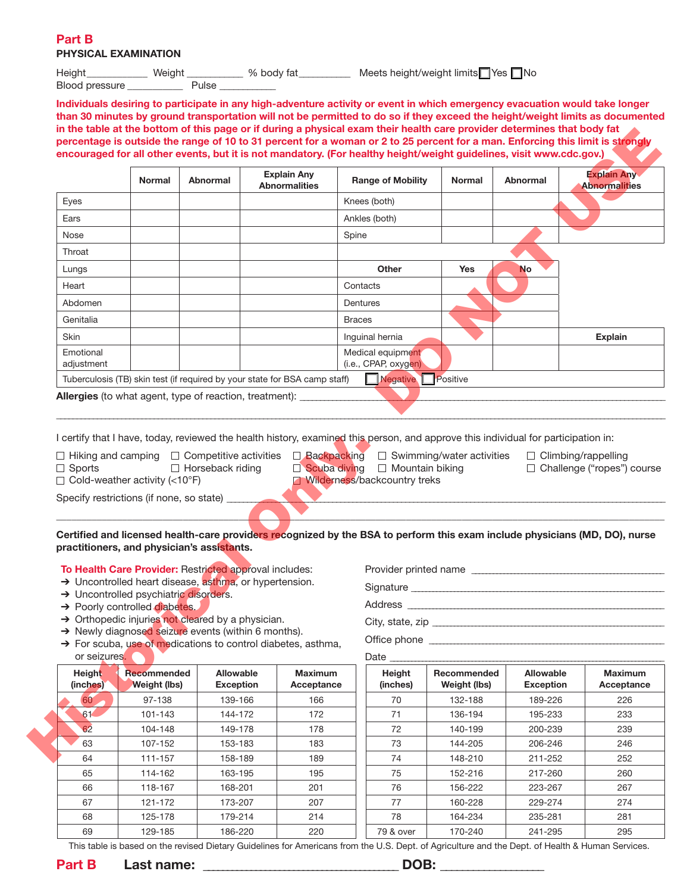#### **Part B PHYSICAL EXAMINATION**

Height\_\_\_\_\_\_\_\_\_\_\_\_\_ Weight \_\_\_\_\_\_\_\_\_\_ % body fat\_\_\_\_\_\_\_\_\_\_ Meets height/weight limits Yes No Blood pressure \_\_\_\_\_\_\_\_\_\_\_\_\_\_\_\_\_\_ Pulse \_

**Individuals desiring to participate in any high-adventure activity or event in which emergency evacuation would take longer than 30 minutes by ground transportation will not be permitted to do so if they exceed the height/weight limits as documented in the table at the bottom of this page or if during a physical exam their health care provider determines that body fat percentage is outside the range of 10 to 31 percent for a woman or 2 to 25 percent for a man. Enforcing this limit is strongly encouraged for all other events, but it is not mandatory. (For healthy height/weight guidelines, visit www.cdc.gov.)**

|                                                                                                                                                                                                                                                                                                                                                                                                    | <b>Normal</b>                             | <b>Abnormal</b>               | <b>Explain Any</b><br><b>Abnormalities</b> |                              | <b>Range of Mobility</b>                                                                                                                                                                                                                                                                                                        | <b>Normal</b>               | Abnormal                      | <b>Explain Any</b><br><b>Abnormalities</b>                                                                                                          |  |
|----------------------------------------------------------------------------------------------------------------------------------------------------------------------------------------------------------------------------------------------------------------------------------------------------------------------------------------------------------------------------------------------------|-------------------------------------------|-------------------------------|--------------------------------------------|------------------------------|---------------------------------------------------------------------------------------------------------------------------------------------------------------------------------------------------------------------------------------------------------------------------------------------------------------------------------|-----------------------------|-------------------------------|-----------------------------------------------------------------------------------------------------------------------------------------------------|--|
| Eyes                                                                                                                                                                                                                                                                                                                                                                                               |                                           |                               |                                            |                              | Knees (both)                                                                                                                                                                                                                                                                                                                    |                             |                               |                                                                                                                                                     |  |
| Ears                                                                                                                                                                                                                                                                                                                                                                                               |                                           |                               |                                            |                              | Ankles (both)                                                                                                                                                                                                                                                                                                                   |                             |                               |                                                                                                                                                     |  |
| Nose                                                                                                                                                                                                                                                                                                                                                                                               |                                           |                               |                                            |                              | Spine                                                                                                                                                                                                                                                                                                                           |                             |                               |                                                                                                                                                     |  |
| Throat                                                                                                                                                                                                                                                                                                                                                                                             |                                           |                               |                                            |                              |                                                                                                                                                                                                                                                                                                                                 |                             |                               |                                                                                                                                                     |  |
| Lungs                                                                                                                                                                                                                                                                                                                                                                                              |                                           |                               |                                            | Other<br><b>Yes</b>          |                                                                                                                                                                                                                                                                                                                                 | <b>No</b>                   |                               |                                                                                                                                                     |  |
| Heart                                                                                                                                                                                                                                                                                                                                                                                              |                                           |                               |                                            |                              | Contacts                                                                                                                                                                                                                                                                                                                        |                             |                               |                                                                                                                                                     |  |
| Abdomen                                                                                                                                                                                                                                                                                                                                                                                            |                                           |                               |                                            |                              | Dentures                                                                                                                                                                                                                                                                                                                        |                             |                               |                                                                                                                                                     |  |
| Genitalia                                                                                                                                                                                                                                                                                                                                                                                          |                                           |                               |                                            |                              | <b>Braces</b>                                                                                                                                                                                                                                                                                                                   |                             |                               |                                                                                                                                                     |  |
| <b>Skin</b>                                                                                                                                                                                                                                                                                                                                                                                        | Inguinal hernia                           |                               |                                            |                              |                                                                                                                                                                                                                                                                                                                                 | <b>Explain</b>              |                               |                                                                                                                                                     |  |
| Emotional<br>adjustment                                                                                                                                                                                                                                                                                                                                                                            |                                           |                               |                                            |                              | Medical equipment<br>(i.e., CPAP, oxygen)                                                                                                                                                                                                                                                                                       |                             |                               |                                                                                                                                                     |  |
| Tuberculosis (TB) skin test (if required by your state for BSA camp staff)                                                                                                                                                                                                                                                                                                                         |                                           |                               |                                            |                              | Negative Positive                                                                                                                                                                                                                                                                                                               |                             |                               |                                                                                                                                                     |  |
|                                                                                                                                                                                                                                                                                                                                                                                                    |                                           | □ Horseback riding            |                                            |                              | I certify that I have, today, reviewed the health history, examined this person, and approve this individual for participation in:<br>$\Box$ Hiking and camping $\Box$ Competitive activities $\Box$ Backpacking $\Box$ Swimming/water activities<br>$\Box$ Scuba diving $\Box$ Mountain biking<br>Wilderness/backcountry treks |                             |                               | $\Box$ Climbing/rappelling<br>□ Challenge ("ropes") course                                                                                          |  |
|                                                                                                                                                                                                                                                                                                                                                                                                    |                                           |                               |                                            |                              |                                                                                                                                                                                                                                                                                                                                 |                             |                               |                                                                                                                                                     |  |
|                                                                                                                                                                                                                                                                                                                                                                                                    |                                           |                               |                                            |                              |                                                                                                                                                                                                                                                                                                                                 |                             |                               | Certified and licensed health-care providers recognized by the BSA to perform this exam include physicians (MD, DO), nurse<br>Provider printed name |  |
|                                                                                                                                                                                                                                                                                                                                                                                                    |                                           |                               |                                            |                              |                                                                                                                                                                                                                                                                                                                                 |                             |                               |                                                                                                                                                     |  |
| $\Box$ Sports<br>$\Box$ Cold-weather activity (<10°F)<br>Specify restrictions (if none, so state)<br>practitioners, and physician's assistants.<br>To Health Care Provider: Restricted approval includes:<br>> Uncontrolled heart disease, asthma, or hypertension.<br>> Uncontrolled psychiatric disorders.<br>→ Poorly controlled diabetes.<br>> Orthopedic injuries not cleared by a physician. |                                           |                               |                                            |                              |                                                                                                                                                                                                                                                                                                                                 |                             |                               |                                                                                                                                                     |  |
| > Newly diagnosed seizure events (within 6 months).                                                                                                                                                                                                                                                                                                                                                |                                           |                               |                                            |                              |                                                                                                                                                                                                                                                                                                                                 |                             |                               | City, state, zip                                                                                                                                    |  |
| > For scuba, use of medications to control diabetes, asthma,                                                                                                                                                                                                                                                                                                                                       |                                           |                               |                                            |                              | Office phone _____________                                                                                                                                                                                                                                                                                                      |                             |                               |                                                                                                                                                     |  |
| or seizures.                                                                                                                                                                                                                                                                                                                                                                                       |                                           |                               |                                            |                              | Date __                                                                                                                                                                                                                                                                                                                         |                             |                               |                                                                                                                                                     |  |
| Height<br>(inches)                                                                                                                                                                                                                                                                                                                                                                                 | <b>Recommended</b><br><b>Weight (lbs)</b> | Allowable<br><b>Exception</b> |                                            | <b>Maximum</b><br>Acceptance | Height<br>(inches)                                                                                                                                                                                                                                                                                                              | Recommended<br>Weight (lbs) | Allowable<br><b>Exception</b> | <b>Maximum</b><br>Acceptance                                                                                                                        |  |
| 60                                                                                                                                                                                                                                                                                                                                                                                                 | 97-138                                    | 139-166                       |                                            | 166                          | 70                                                                                                                                                                                                                                                                                                                              | 132-188                     | 189-226                       | 226                                                                                                                                                 |  |
| 61                                                                                                                                                                                                                                                                                                                                                                                                 | 101-143                                   | 144-172                       |                                            | 172                          | 71                                                                                                                                                                                                                                                                                                                              | 136-194                     | 195-233                       | 233                                                                                                                                                 |  |
| 62                                                                                                                                                                                                                                                                                                                                                                                                 | 104-148                                   | 149-178                       |                                            | 178                          | 72                                                                                                                                                                                                                                                                                                                              | 140-199                     | 200-239                       | 239                                                                                                                                                 |  |
| 63                                                                                                                                                                                                                                                                                                                                                                                                 | 107-152                                   | 153-183                       |                                            | 183                          | 73                                                                                                                                                                                                                                                                                                                              | 144-205                     | 206-246                       | 246                                                                                                                                                 |  |

| <b>Height</b><br>(inches) | <b>Recommended</b><br><b>Weight (lbs)</b> | Allowable<br><b>Exception</b> | <b>Maximum</b><br>Acceptance | Height<br>(inches) | Recommended<br>Weight (lbs) | Allowable<br><b>Exception</b> | <b>Maxim</b><br>Accepta |
|---------------------------|-------------------------------------------|-------------------------------|------------------------------|--------------------|-----------------------------|-------------------------------|-------------------------|
| 60                        | 97-138                                    | 139-166                       | 166                          | 70                 | 132-188                     | 189-226                       | 226                     |
| 61                        | 101-143                                   | 144-172                       | 172                          | 71                 | 136-194                     | 195-233                       | 233                     |
| 62                        | 104-148                                   | 149-178                       | 178                          | 72                 | 140-199                     | 200-239                       | 239                     |
| 63                        | 107-152                                   | 153-183                       | 183                          | 73                 | 144-205                     | 206-246                       | 246                     |
| 64                        | $111 - 157$                               | 158-189                       | 189                          | 74                 | 148-210                     | 211-252                       | 252                     |
| 65                        | 114-162                                   | 163-195                       | 195                          | 75                 | 152-216                     | 217-260                       | 260                     |
| 66                        | 118-167                                   | 168-201                       | 201                          | 76                 | 156-222                     | 223-267                       | 267                     |
| 67                        | 121-172                                   | 173-207                       | 207                          | 77                 | 160-228                     | 229-274                       | 274                     |
| 68                        | 125-178                                   | 179-214                       | 214                          | 78                 | 164-234                     | 235-281                       | 281                     |
| 69                        | 129-185                                   | 186-220                       | 220                          | 79 & over          | 170-240                     | 241-295                       | 295                     |

This table is based on the revised Dietary Guidelines for Americans from the U.S. Dept. of Agriculture and the Dept. of Health & Human Services.